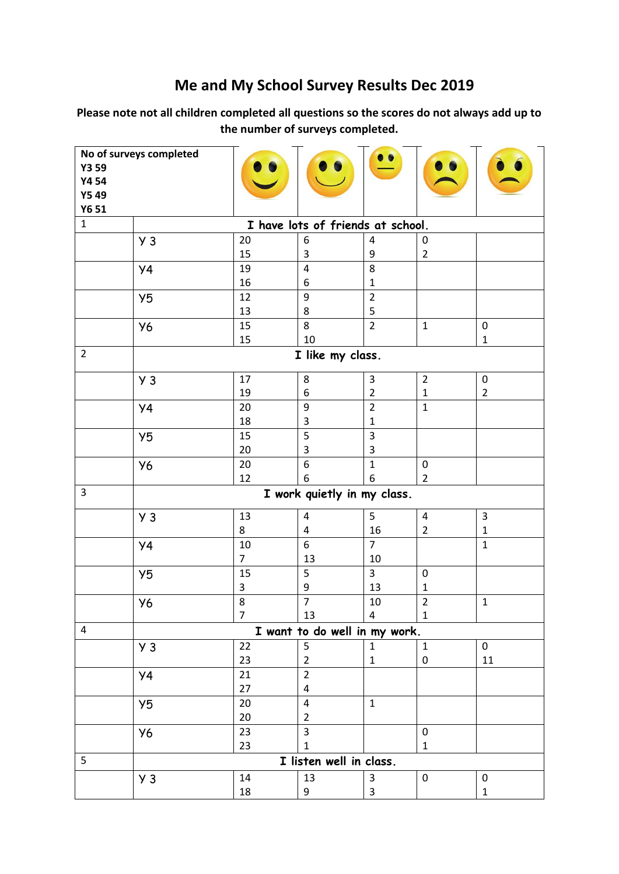## **Me and My School Survey Results Dec 2019**

**Please note not all children completed all questions so the scores do not always add up to the number of surveys completed.** 

| Y3 59<br>Y4 54<br><b>Y549</b><br>Y6 51           | No of surveys completed     |                      |                               | $\bullet\bullet$                  |                                  |                             |  |  |
|--------------------------------------------------|-----------------------------|----------------------|-------------------------------|-----------------------------------|----------------------------------|-----------------------------|--|--|
| $\mathbf 1$<br>I have lots of friends at school. |                             |                      |                               |                                   |                                  |                             |  |  |
|                                                  | $Y_3$                       | 20<br>15             | 6<br>3                        | 4<br>9                            | 0<br>$\overline{2}$              |                             |  |  |
|                                                  | <b>y4</b>                   | 19<br>16             | $\overline{4}$<br>6           | 8<br>1                            |                                  |                             |  |  |
|                                                  | Y5                          | 12<br>13             | 9<br>8                        | $\overline{2}$<br>5               |                                  |                             |  |  |
|                                                  | <b>Y6</b>                   | 15<br>15             | 8<br>10                       | $\overline{2}$                    | $\mathbf{1}$                     | $\pmb{0}$<br>$\mathbf{1}$   |  |  |
| $\overline{2}$                                   |                             |                      | I like my class.              |                                   |                                  |                             |  |  |
|                                                  | $y_3$                       | 17<br>19             | 8<br>6                        | 3<br>$\overline{2}$               | $\overline{2}$<br>$\mathbf{1}$   | $\pmb{0}$<br>$\overline{2}$ |  |  |
|                                                  | <b>y4</b>                   | 20<br>18             | 9<br>3                        | $\overline{2}$<br>$\mathbf{1}$    | $\mathbf{1}$                     |                             |  |  |
|                                                  | Y5                          | 15<br>20             | 5<br>3                        | 3<br>3                            |                                  |                             |  |  |
|                                                  | <b>Y6</b>                   | 20<br>12             | 6<br>6                        | $\mathbf{1}$<br>6                 | $\pmb{0}$<br>$\overline{2}$      |                             |  |  |
| $\overline{3}$                                   | I work quietly in my class. |                      |                               |                                   |                                  |                             |  |  |
|                                                  | $y_3$                       | 13<br>8              | 4<br>4                        | 5<br>16                           | $\overline{a}$<br>$\overline{2}$ | $\mathsf 3$<br>$\mathbf 1$  |  |  |
|                                                  | <b>y4</b>                   | 10<br>$\overline{7}$ | 6<br>13                       | $\overline{7}$<br>$10\,$          |                                  | $\mathbf{1}$                |  |  |
|                                                  | Y <sub>5</sub>              | 15<br>3              | 5<br>9                        | 3<br>13                           | $\mathbf 0$<br>1                 |                             |  |  |
|                                                  | Y6                          | 8<br>$\overline{7}$  | $\overline{7}$<br>13          | $10\,$<br>$\overline{\mathbf{4}}$ | $\overline{2}$<br>$\mathbf{1}$   | $\mathbf 1$                 |  |  |
| 4                                                |                             |                      | I want to do well in my work. |                                   |                                  |                             |  |  |
|                                                  | $Y_3$                       | 22<br>23             | 5<br>$\overline{2}$           | $\mathbf{1}$<br>$\mathbf 1$       | $\mathbf{1}$<br>0                | $\mathbf 0$<br>11           |  |  |
|                                                  | <b>y4</b>                   | 21<br>27             | $\overline{2}$<br>4           |                                   |                                  |                             |  |  |
|                                                  | Y <sub>5</sub>              | 20<br>20             | $\pmb{4}$<br>$\overline{2}$   | $\mathbf{1}$                      |                                  |                             |  |  |
|                                                  | <b>Y6</b>                   | 23<br>23             | 3<br>$\mathbf{1}$             |                                   | $\pmb{0}$<br>$\mathbf{1}$        |                             |  |  |
| 5                                                |                             |                      | I listen well in class.       |                                   |                                  |                             |  |  |
|                                                  | $y_3$                       | 14<br>18             | 13<br>9                       | 3<br>3                            | 0                                | $\pmb{0}$<br>$\mathbf 1$    |  |  |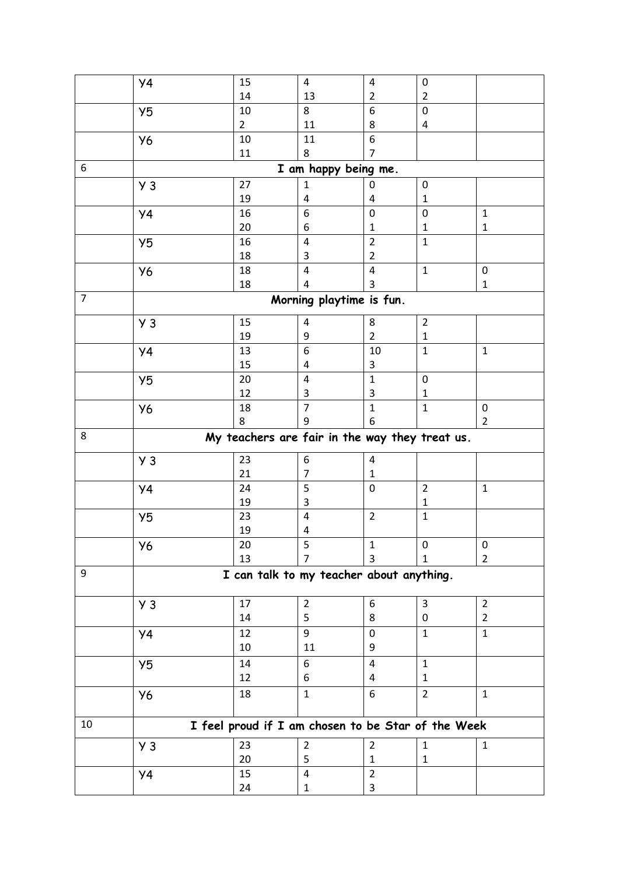|                | Y4                                             | 15             | 4                                                  | 4                       | 0              |                           |  |  |
|----------------|------------------------------------------------|----------------|----------------------------------------------------|-------------------------|----------------|---------------------------|--|--|
|                |                                                | 14             | 13                                                 | $\overline{2}$          | $\overline{2}$ |                           |  |  |
|                | Y <sub>5</sub>                                 | 10             | 8                                                  | 6                       | $\pmb{0}$      |                           |  |  |
|                |                                                | $\overline{2}$ | 11                                                 | 8                       | 4              |                           |  |  |
|                | <b>Y6</b>                                      | 10             | 11                                                 | 6                       |                |                           |  |  |
|                |                                                | 11             | 8                                                  | 7                       |                |                           |  |  |
| 6              | I am happy being me.                           |                |                                                    |                         |                |                           |  |  |
|                | Y <sub>3</sub>                                 | 27             | $\mathbf{1}$                                       | 0                       | 0              |                           |  |  |
|                |                                                | 19             | 4                                                  | 4                       | $\mathbf{1}$   |                           |  |  |
|                | <b>y4</b>                                      | 16             | 6                                                  | 0                       | $\pmb{0}$      | $\mathbf 1$               |  |  |
|                |                                                | 20             | 6                                                  | 1                       | $\mathbf{1}$   | $\mathbf{1}$              |  |  |
|                | Y5                                             | 16             | $\overline{4}$                                     | $\overline{2}$          | $\mathbf{1}$   |                           |  |  |
|                |                                                | 18             | 3                                                  | $\overline{2}$          |                |                           |  |  |
|                | Y6                                             | 18<br>18       | 4                                                  | 4<br>3                  | $\mathbf 1$    | $\pmb{0}$<br>$\mathbf{1}$ |  |  |
| $\overline{7}$ |                                                |                | 4                                                  |                         |                |                           |  |  |
|                |                                                |                | Morning playtime is fun.                           |                         |                |                           |  |  |
|                | $Y_3$                                          | 15             | 4                                                  | 8                       | $\overline{2}$ |                           |  |  |
|                |                                                | 19             | 9                                                  | 2                       | 1              |                           |  |  |
|                | <b>y4</b>                                      | 13             | $\boldsymbol{6}$                                   | 10                      | $\mathbf{1}$   | $\mathbf{1}$              |  |  |
|                |                                                | 15             | 4                                                  | 3                       |                |                           |  |  |
|                | Y5                                             | 20             | $\pmb{4}$                                          | $\mathbf{1}$            | $\pmb{0}$      |                           |  |  |
|                |                                                | 12             | 3                                                  | 3                       | 1              |                           |  |  |
|                | <b>Y6</b>                                      | 18             | $\overline{7}$                                     | $\mathbf 1$             | $\mathbf{1}$   | $\pmb{0}$                 |  |  |
|                |                                                | 8              | 9                                                  | 6                       |                | $\overline{2}$            |  |  |
| 8              | My teachers are fair in the way they treat us. |                |                                                    |                         |                |                           |  |  |
|                | Y <sub>3</sub>                                 | 23             | 6                                                  | $\overline{\mathbf{4}}$ |                |                           |  |  |
|                |                                                | 21             | 7                                                  | 1                       |                |                           |  |  |
|                | <b>y4</b>                                      | 24             | 5                                                  | $\mathbf 0$             | $\overline{2}$ | $\mathbf{1}$              |  |  |
|                |                                                | 19             | 3                                                  |                         | $\mathbf{1}$   |                           |  |  |
|                | Y5                                             | 23             | $\overline{4}$                                     | $\overline{2}$          | $\mathbf 1$    |                           |  |  |
|                |                                                | 19             | 4                                                  |                         |                |                           |  |  |
|                | У6                                             | 20             | 5                                                  | 1                       | 0              | 0                         |  |  |
|                |                                                | 13             | 7                                                  | 3                       | 1              | $\overline{2}$            |  |  |
| 9              | I can talk to my teacher about anything.       |                |                                                    |                         |                |                           |  |  |
|                | $y_3$                                          | 17             | $\overline{2}$                                     | 6                       | $\overline{3}$ | $\overline{2}$            |  |  |
|                |                                                | 14             | 5                                                  | 8                       | 0              | $\overline{2}$            |  |  |
|                | <b>y4</b>                                      | 12             | 9                                                  | 0                       | $\mathbf{1}$   | $\mathbf{1}$              |  |  |
|                |                                                | 10             | 11                                                 | 9                       |                |                           |  |  |
|                | Y <sub>5</sub>                                 | 14             | 6                                                  | 4                       | $\mathbf{1}$   |                           |  |  |
|                |                                                | 12             | 6                                                  | 4                       | $\mathbf{1}$   |                           |  |  |
|                | Y6                                             | 18             | $\mathbf{1}$                                       | 6                       | $\overline{2}$ | $\mathbf{1}$              |  |  |
|                |                                                |                |                                                    |                         |                |                           |  |  |
| 10             |                                                |                | I feel proud if I am chosen to be Star of the Week |                         |                |                           |  |  |
|                | $Y_3$                                          | 23             | $\overline{2}$                                     | $\overline{2}$          | $\mathbf{1}$   | $\mathbf{1}$              |  |  |
|                |                                                | 20             | 5                                                  | 1                       | $\mathbf{1}$   |                           |  |  |
|                | Y4                                             | 15             | $\overline{\mathbf{4}}$                            | $\overline{2}$          |                |                           |  |  |
|                |                                                | 24             | $\mathbf{1}$                                       | 3                       |                |                           |  |  |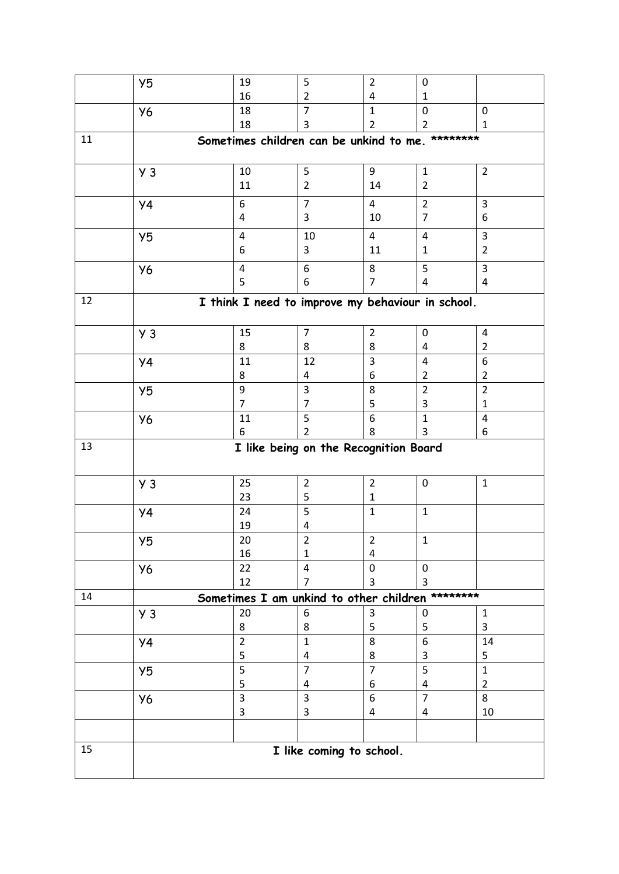|    | Y5                                                | 19                                      | 5                   | $\overline{2}$      | 0                       |                           |  |  |
|----|---------------------------------------------------|-----------------------------------------|---------------------|---------------------|-------------------------|---------------------------|--|--|
|    |                                                   | 16                                      | $\overline{2}$      | 4                   | 1                       |                           |  |  |
|    | <b>Y6</b>                                         | 18                                      | $\overline{7}$      | $\mathbf{1}$        | $\pmb{0}$               | $\mathbf 0$               |  |  |
|    |                                                   | 18                                      | 3                   | $\overline{2}$      | $\overline{2}$          | 1                         |  |  |
| 11 | Sometimes children can be unkind to me. ********  |                                         |                     |                     |                         |                           |  |  |
|    | Y <sub>3</sub>                                    | 10                                      | 5                   | 9                   | $\mathbf{1}$            | $\overline{2}$            |  |  |
|    |                                                   | 11                                      | $\overline{2}$      | 14                  | $\overline{2}$          |                           |  |  |
|    | <b>y4</b>                                         | $\boldsymbol{6}$                        | $\overline{7}$      | 4                   | $\overline{2}$          | 3                         |  |  |
|    |                                                   | 4                                       | 3                   | 10                  | $\overline{7}$          | 6                         |  |  |
|    | Y <sub>5</sub>                                    | $\overline{4}$                          | 10                  | $\overline{4}$      | $\overline{\mathbf{4}}$ | $\overline{3}$            |  |  |
|    |                                                   | 6                                       | 3                   | 11                  | $\mathbf{1}$            | $\overline{2}$            |  |  |
|    | Y6                                                | $\overline{4}$                          | 6                   | 8                   | 5                       | $\overline{3}$            |  |  |
|    |                                                   | 5                                       | 6                   | 7                   | 4                       | 4                         |  |  |
| 12 | I think I need to improve my behaviour in school. |                                         |                     |                     |                         |                           |  |  |
|    |                                                   |                                         |                     |                     |                         |                           |  |  |
|    | Y <sub>3</sub>                                    | 15                                      | $\overline{7}$      | $\overline{2}$      | 0                       | 4                         |  |  |
|    |                                                   | 8                                       | 8                   | 8                   | 4                       | $\overline{2}$            |  |  |
|    | <b>Y4</b>                                         | 11                                      | 12                  | 3                   | $\overline{4}$          | 6                         |  |  |
|    |                                                   | 8                                       | 4                   | 6                   | $\overline{2}$          | $\overline{2}$            |  |  |
|    | Y5                                                | 9<br>$\overline{7}$                     | 3<br>$\overline{7}$ | 8                   | $\overline{2}$          | $\overline{2}$            |  |  |
|    |                                                   | 11                                      | 5                   | 5<br>6              | 3<br>$\mathbf{1}$       | $\mathbf{1}$<br>$\pmb{4}$ |  |  |
|    | Y6                                                | 6                                       | $\overline{2}$      | 8                   | 3                       | 6                         |  |  |
| 13 |                                                   |                                         |                     |                     |                         |                           |  |  |
|    | I like being on the Recognition Board             |                                         |                     |                     |                         |                           |  |  |
|    |                                                   | 25                                      | $\overline{2}$      | $\overline{2}$      | $\pmb{0}$               | $\mathbf{1}$              |  |  |
|    | $y_3$                                             | 23                                      | 5                   | $\mathbf{1}$        |                         |                           |  |  |
|    | <b>Y4</b>                                         | 24                                      | 5                   | $\mathbf{1}$        | $\mathbf{1}$            |                           |  |  |
|    |                                                   | 19                                      | 4                   |                     |                         |                           |  |  |
|    | Y <sub>5</sub>                                    | 20                                      | $\overline{2}$      | $\overline{2}$      | $\mathbf 1$             |                           |  |  |
|    |                                                   | 16                                      | 1                   | 4                   |                         |                           |  |  |
|    | <b>Y6</b>                                         | 22                                      | 4                   | 0                   | 0                       |                           |  |  |
|    |                                                   | 12                                      | $\overline{7}$      | 3                   | 3                       |                           |  |  |
| 14 |                                                   | Sometimes I am unkind to other children |                     |                     |                         | ********                  |  |  |
|    | Y <sub>3</sub>                                    | 20                                      | 6                   | 3                   | 0                       | $\mathbf{1}$              |  |  |
|    |                                                   | 8                                       | 8                   | 5                   | 5                       | 3                         |  |  |
|    | <b>y4</b>                                         | $\overline{2}$                          | $\mathbf{1}$        | 8                   | $\boldsymbol{6}$        | 14                        |  |  |
|    |                                                   | 5<br>5                                  | 4<br>$\overline{7}$ | 8<br>$\overline{7}$ | 3<br>5                  | 5<br>$\mathbf{1}$         |  |  |
|    | Y5                                                | 5                                       | 4                   | 6                   | 4                       | $\overline{2}$            |  |  |
|    | Y6                                                | $\overline{3}$                          | 3                   | 6                   | $\overline{7}$          | 8                         |  |  |
|    |                                                   | 3                                       | 3                   | 4                   | 4                       | 10                        |  |  |
|    |                                                   |                                         |                     |                     |                         |                           |  |  |
| 15 |                                                   |                                         |                     |                     |                         |                           |  |  |
|    | I like coming to school.                          |                                         |                     |                     |                         |                           |  |  |
|    |                                                   |                                         |                     |                     |                         |                           |  |  |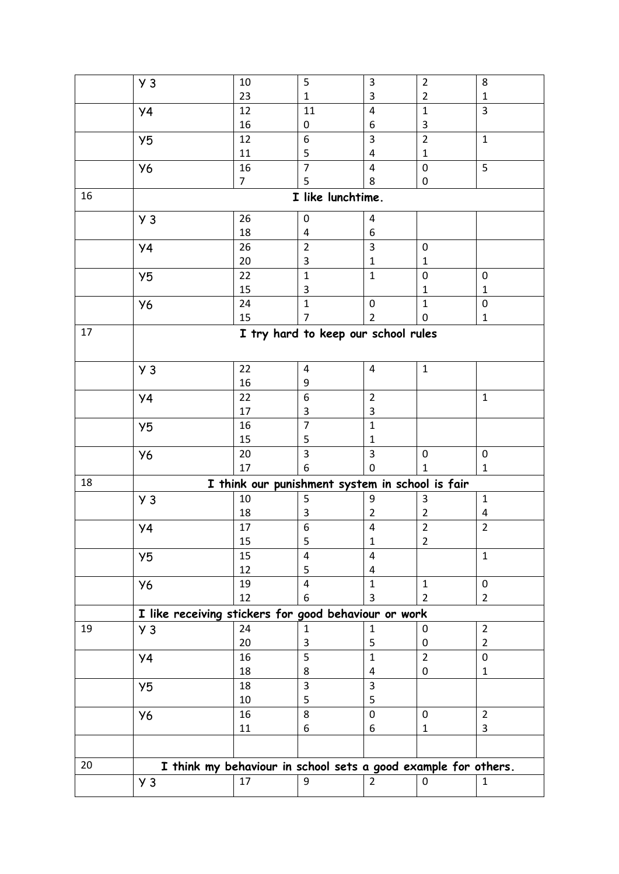|    | $y_3$                                                | 10<br>23                                                       | 5                       | 3                                   | $\overline{2}$                 | 8                        |  |
|----|------------------------------------------------------|----------------------------------------------------------------|-------------------------|-------------------------------------|--------------------------------|--------------------------|--|
|    |                                                      | 12                                                             | $\mathbf{1}$<br>11      | 3<br>$\overline{\mathbf{4}}$        | $\overline{2}$<br>$\mathbf{1}$ | 1<br>3                   |  |
|    | <b>y4</b>                                            | 16                                                             | 0                       | 6                                   | 3                              |                          |  |
|    | Y <sub>5</sub>                                       | 12                                                             | 6                       | 3                                   | $\overline{2}$                 | $\mathbf{1}$             |  |
|    |                                                      | 11                                                             | 5                       | 4                                   | $\mathbf{1}$                   |                          |  |
|    | <b>Y6</b>                                            | 16                                                             | $\overline{7}$          | $\overline{4}$                      | $\pmb{0}$                      | 5                        |  |
|    |                                                      | $\overline{7}$                                                 | 5                       | 8                                   | 0                              |                          |  |
| 16 | I like lunchtime.                                    |                                                                |                         |                                     |                                |                          |  |
|    | $y_3$                                                | 26                                                             | 0                       | 4                                   |                                |                          |  |
|    |                                                      | 18                                                             | 4                       | 6                                   |                                |                          |  |
|    | <b>y4</b>                                            | 26                                                             | $\overline{2}$          | 3                                   | $\pmb{0}$                      |                          |  |
|    |                                                      | 20                                                             | 3                       | $\mathbf{1}$                        | 1                              |                          |  |
|    | Y5                                                   | 22                                                             | $\mathbf{1}$            | $\mathbf{1}$                        | $\pmb{0}$                      | $\pmb{0}$                |  |
|    |                                                      | 15                                                             | 3                       |                                     | 1                              | $\mathbf{1}$             |  |
|    | <b>Y6</b>                                            | 24                                                             | $\mathbf{1}$            | $\mathbf 0$                         | $\mathbf{1}$                   | $\pmb{0}$                |  |
|    |                                                      | 15                                                             | 7                       | $\overline{2}$                      | 0                              | $\mathbf{1}$             |  |
| 17 |                                                      |                                                                |                         | I try hard to keep our school rules |                                |                          |  |
|    |                                                      |                                                                |                         |                                     |                                |                          |  |
|    | $y_3$                                                | 22                                                             | 4                       | 4                                   | $\mathbf{1}$                   |                          |  |
|    |                                                      | 16                                                             | 9                       |                                     |                                |                          |  |
|    | <b>y4</b>                                            | 22                                                             | 6                       | $\overline{2}$                      |                                | $\mathbf{1}$             |  |
|    |                                                      | 17                                                             | 3                       | 3                                   |                                |                          |  |
|    | Y5                                                   | 16<br>15                                                       | $\overline{7}$          | $\mathbf{1}$                        |                                |                          |  |
|    |                                                      | 20                                                             | 5<br>3                  | $\mathbf{1}$<br>3                   | $\pmb{0}$                      | $\pmb{0}$                |  |
|    | <b>Y6</b>                                            | 17                                                             | 6                       | 0                                   | 1                              | $\mathbf{1}$             |  |
| 18 |                                                      | I think our punishment system in school is fair                |                         |                                     |                                |                          |  |
|    | $y_3$                                                | 10                                                             | 5                       | 9                                   | 3                              | $\mathbf 1$              |  |
|    |                                                      | 18                                                             | 3                       | $\overline{2}$                      | $\overline{2}$                 | $\overline{\mathcal{A}}$ |  |
|    | <b>y4</b>                                            | 17                                                             | 6                       | $\overline{\mathbf{4}}$             | $\overline{2}$                 | $\overline{2}$           |  |
|    |                                                      | 15                                                             | 5                       | $\mathbf 1$                         | $\overline{2}$                 |                          |  |
|    | Y <sub>5</sub>                                       | 15                                                             | 4                       | 4                                   |                                | $\mathbf{1}$             |  |
|    |                                                      | 12                                                             | 5                       | 4                                   |                                |                          |  |
|    | <b>Y6</b>                                            | 19                                                             | $\overline{\mathbf{4}}$ | $\mathbf{1}$                        | $\mathbf{1}$                   | $\mathbf 0$              |  |
|    |                                                      | 12                                                             | 6                       | 3                                   | 2                              | $\overline{2}$           |  |
|    | I like receiving stickers for good behaviour or work |                                                                |                         |                                     |                                |                          |  |
| 19 | $y_3$                                                | 24                                                             | $\mathbf{1}$            | $\mathbf 1$                         | 0                              | $\overline{2}$           |  |
|    |                                                      | 20                                                             | 3                       | 5                                   | 0                              | $\overline{2}$           |  |
|    | <b>y4</b>                                            | 16                                                             | 5                       | $\mathbf{1}$                        | $\overline{2}$                 | $\mathbf 0$              |  |
|    |                                                      | 18                                                             | 8                       | 4                                   | 0                              | $\mathbf{1}$             |  |
|    | Y <sub>5</sub>                                       | 18                                                             | 3                       | 3                                   |                                |                          |  |
|    |                                                      | 10                                                             | 5<br>8                  | 5                                   |                                |                          |  |
|    | <b>Y6</b>                                            | 16                                                             |                         | $\pmb{0}$                           | $\pmb{0}$                      | $\overline{2}$<br>3      |  |
|    |                                                      | $11\,$                                                         | 6                       | 6                                   | 1                              |                          |  |
|    |                                                      |                                                                |                         |                                     |                                |                          |  |
| 20 |                                                      | I think my behaviour in school sets a good example for others. |                         |                                     |                                |                          |  |
|    | $Y_3$                                                | 17                                                             | 9                       | $\overline{2}$                      | 0                              | $\mathbf{1}$             |  |
|    |                                                      |                                                                |                         |                                     |                                |                          |  |